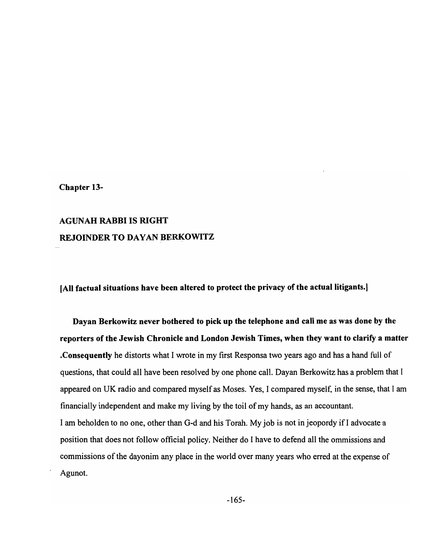### Chapter 13-

# AGUNAH RABBI IS RIGHT REJOINDER TO DA VAN BERKOWITZ

[All factual situations have been altered to protect the privacy of the actual litigants.]

Dayan Berkowitz never bothered to pick up the telephone and call me as was done by the reporters of the Jewish Chronicle and London Jewish Times, when they want to clarify a matter .Consequently he distorts what I wrote in my first Responsa two years ago and has a hand full of questions, that could all have been resolved by one phone call. Dayan Berkowitz has a problem that I appeared on UK radio and compared myself as Moses. Yes, I compared myself, in the sense, that I am financially independent and make my living by the toil of my hands, as an accountant. I am beholden to no one, other than G-d and his Torah. My job is not injeopordy if I advocate a position that does not follow official policy. Neither do I have to defend all the ommissions and commissions of the dayonim any place in the world over many years who erred at the expense of Agunot.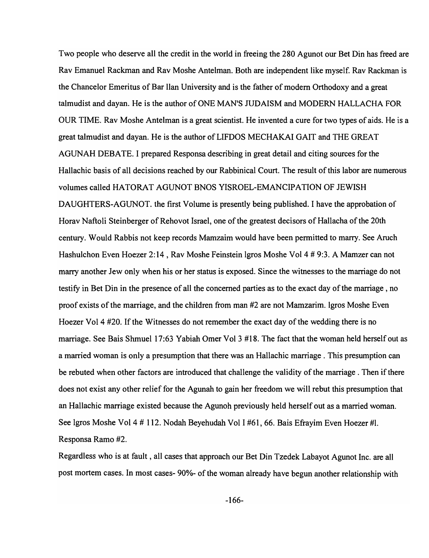Two people who deserve all the credit in the world in freeing the 280 Agunot our Bet Din has freed are Rav Emanuel Rackman and Rav Moshe Antelman. Both are independent like myself. Rav Rackman is the Chancelor Emeritus of Bar llan University and is the father of modern Orthodoxy and a great talmudist and dayan. He is the author of ONE MAN'S JUDAISM and MODERN HALLACHA FOR OUR TIME. Rav Moshe Antelman is a great scientist. He invented a cure for two types of aids. He is a great talmudist and dayan. He is the author of LIFDOS MECHAKAI GAIT and THE GREAT AGUNAH DEBATE. I prepared Responsa describing in great detail and citing sources for the Hallachic basis of all decisions reached by our Rabbinical Court. The result of this labor are numerous volumes called HATORAT AGUNOT BNOS YISROEL-EMANCIPATION OF JEWISH DAUGHTERS-AGUNOT. the first Volume is presently being published. I have the approbation of Horav Naftoli Steinberger of Rehovot Israel, one of the greatest decisors of Hallacha of the 20th century. Would Rabbis not keep records Mamzaim would have been permitted to marry. See Aruch Hashulchon Even Hoezer 2:14, Rav Moshe Feinstein Igros Moshe Vol 4 # 9:3. A Mamzer can not marry another Jew only when his or her status is exposed. Since the witnesses to the marriage do not testify in Bet Din in the presence of all the concerned parties as to the exact day of the marriage, no proof exists of the marriage, and the children from man #2 are not Mamzarim. Igros Moshe Even Hoezer Vol 4 #20. If the Witnesses do not remember the exact day of the wedding there is no marriage. See Bais Shmuel 17:63 Yabiah Omer Vol 3 #18. The fact that the woman held herself out as a married woman is only a presumption that there was an Hallachic marriage. This presumption can be rebuted when other factors are introduced that challenge the validity of the marriage . Then if there does not exist any other relief for the Agunah to gain her freedom we will rebut this presumption that an Hallachic marriage existed because the Agunoh previously held herself out as a married woman. See Igros Moshe Vol 4 # 112. Nodah Beyehudah Vol I #61, 66. Bais Efrayim Even Hoezer #1. Responsa Ramo #2.

Regardless who is at fault, all cases that approach our Bet Din Tzedek Labayot Agunot Inc. are all post mortem cases. In most cases- 90%- of the woman already have begun another relationship with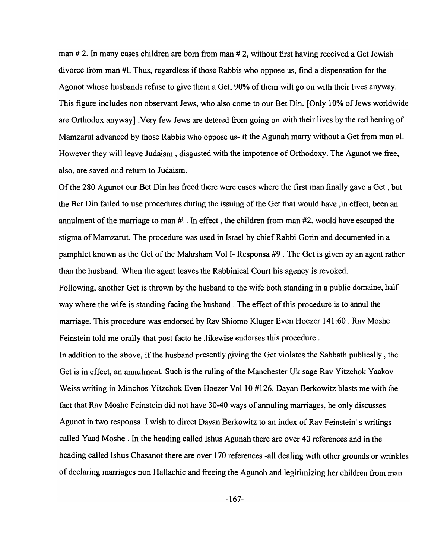man # 2. In many cases children are born from man # 2, without first having received a Get Jewish divorce from man #1. Thus, regardless if those Rabbis who oppose us, find a dispensation for the Agonot whose husbands refuse to give them a Get, 90% of them will go on with their lives anyway. This figure includes non observant Jews, who also come to our Bet Din. [Only 10% of Jews worldwide are Orthodox anyway] .Very few Jews are detered from going on with their lives by the red herring of Mamzarut advanced by those Rabbis who oppose us- if the Agunah marry without a Get from man #1. However they will leave Judaism, disgusted with the impotence of Orthodoxy. The Agunot we free, also, are saved and return to Judaism.

Of the 280 Agunot our Bet Din has freed there were cases where the first man finally gave a Get, but the Bet Din failed to use procedures during the issuing of the Get that would have ,in effect, been an annulment of the marriage to man #1 . In effect, the children from man #2. would have escaped the stigma of Mamzarut. The procedure was used in Israel by chief Rabbi Gorin and documented in a pamphlet known as the Get of the Mahrsham Vol 1- Responsa #9 . The Get is given by an agent rather than the husband. When the agent leaves the Rabbinical Court his agency is revoked.

Following, another Get is thrown by the husband to the wife both standing in a public domaine, half way where the wife is standing facing the husband . The effect of this procedure is to annul the marriage. This procedure was endorsed by Rav Shiomo Kluger Even Hoezer 141 :60 . Rav Moshe Feinstein told me orally that post facto he .likewise endorses this procedure.

In addition to the above, if the husband presently giving the Get violates the Sabbath publically , the Get is in effect, an annulment. Such is the ruling of the Manchester Uk sage Rav Yitzchok Yaakov Weiss writing in Minchos Yitzchok Even Hoezer Vol 10 #126. Dayan Berkowitz blasts me with the fact that Rav Moshe Feinstein did not have 30-40 ways of annuling marriages, he only discusses Agunot in two responsa. I wish to direct Dayan Berkowitz to an index of Rav Feinstein's writings called Yaad Moshe . In the heading called Ishus Agunah there are over 40 references and in the heading called Ishus Chasanot there are over 170 references -all dealing with other grounds or wrinkles of declaring marriages non Hallachic and freeing the Agunoh and legitimizing her children from man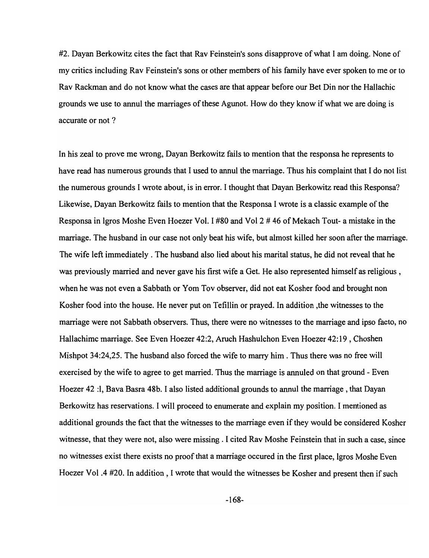#2. Dayan Berkowitz cites the fact that Rav Feinstein's sons disapprove of what I am doing. None of my critics including Rav Feinstein's sons or other members of his family have ever spoken to me or to Rav Rackman and do not know what the cases are that appear before our Bet Din nor the Hallachic grounds we use to annul the marriages of these Agunot. How do they know if what we are doing is accurate or not ?

In his zeal to prove me wrong, Dayan Berkowitz fails to mention that the responsa he represents to have read has numerous grounds that I used to annul the marriage. Thus his complaint that I do not list the numerous grounds I wrote about, is in error. I thought that Dayan Berkowitz read this Responsa? Likewise, Dayan Berkowitz fails to mention that the Responsa I wrote is a classic example of the Responsa in Igros Moshe Even Hoezer Vol. I #80 and Vol 2 # 46 of Mekach Tout- a mistake in the marriage. The husband in our case not only beat his wife, but almost killed her soon after the marriage. The wife left immediately. The husband also lied about his marital status, he did not reveal that he was previously married and never gave his first wife a Get. He also represented himself as religious, when he was not even a Sabbath or Yom Tov observer, did not eat Kosher food and brought non Kosher food into the house. He never put on Tefillin or prayed. In addition ,the witnesses to the marriage were not Sabbath observers. Thus, there were no witnesses to the marriage and ipso facto, no Hallachimc marriage. See Even Hoezer 42:2, Aruch Hashulchon Even Hoezer 42: 19 , Choshen Mishpot 34:24,25. The husband also forced the wife to marry him. Thus there was no free will exercised by the wife to agree to get married. Thus the marriage is annuled on that ground - Even Hoezer 42 :1, Bava Basra 48b. I also listed additional grounds to annul the marriage, that Dayan Berkowitz has reservations. I will proceed to enumerate and explain my position. I mentioned as additional grounds the fact that the witnesses to the marriage even if they would be considered Kosher witnesse, that they were not, also were missing. I cited Rav Moshe Feinstein that in such a case, since no witnesses exist there exists no proof that a marriage occured in the first place, 19ros Moshe Even Hoezer Vol .4 #20. In addition, I wrote that would the witnesses be Kosher and present then if such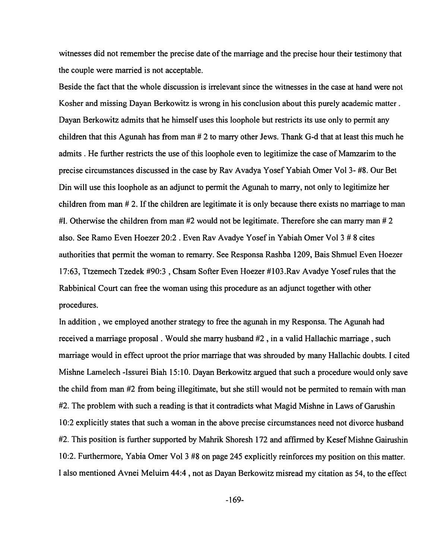witnesses did not remember the precise date of the marriage and the precise hour their testimony that the couple were married is not acceptable.

Beside the fact that the whole discussion is irrelevant since the witnesses in the case at hand were not Kosher and missing Dayan Berkowitz is wrong in his conclusion about this purely academic matter. Dayan Berkowitz admits that he himself uses this loophole but restricts its use only to permit any children that this Agunah has from man # 2 to marry other Jews. Thank G-d that at least this much he admits. He further restricts the use of this loophole even to legitimize the case of Mamzarim to the precise circumstances discussed in the case by Rav Avadya Yosef Yabiah Omer Vol 3- #8. Our Bet Din will use this loophole as an adjunct to permit the Agunah to marry, not only to legitimize her children from man # 2. If the children are legitimate it is only because there exists no marriage to man #1. Otherwise the children from man  $#2$  would not be legitimate. Therefore she can marry man  $#2$ also. See Ramo Even Hoezer 20:2. Even Rav Avadye Yosef in Yabiah Omer Vol 3 # 8 cites authorities that permit the woman to remarry. See Responsa Rashba 1209, Bais Shmuel Even Hoezer 17:63, Ttzemech Tzedek #90:3 ,Chsam Softer Even Hoezer #103.Rav Avadye Yosefrules that the Rabbinical Court can free the woman using this procedure as an adjunct together with other procedures.

In addition, we employed another strategy to free the agunah in my Responsa. The Agunah had received a marriage proposal. Would she marry husband #2 , in a valid Hallachic marriage, such marriage would in effect uproot the prior marriage that was shrouded by many Hallachic doubts. I cited Mishne Lamelech -Issurei Biah 15:10. Dayan Berkowitz argued that such a procedure would only save the child from man #2 from being illegitimate, but she still would not be permited to remain with man #2. The problem with such a reading is that it contradicts what Magid Mishne in Laws of Garushin 10:2 explicitly states that such a woman in the above precise circumstances need not divorce husband #2. This position is further supported by Mahrik Shoresh 1 72 and affirmed by Kesef Mishne Gairushin 10:2. Furthermore, Yabia Orner Vol 3 #8 on page 245 explicitly reinforces my position on this matter. I also mentioned A vnei Meluim 44:4 , not as Dayan Berkowitz misread my citation as 54, to the effect

-169-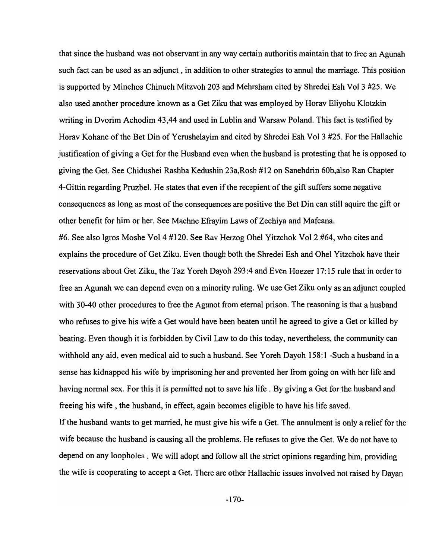that since the husband was not observant in any way certain authoritis maintain that to free an Agunah such fact can be used as an adjunct, in addition to other strategies to annul the marriage. This position is supported by Minchos Chinuch Mitzvoh 203 and Mehrsham cited by Shredei Esh Vol 3 #25. We also used another procedure known as a Get Ziku that was employed by Horav Eliyohu Klotzkin writing in Dvorim Achodim 43,44 and used in Lublin and Warsaw Poland. This fact is testified by Horav Kohane of the Bet Din of Yerushelayim and cited by Shredei Esh Vol 3 #25. For the Hallachic justification of giving a Get for the Husband even when the husband is protesting that he is opposed to giving the Get. See Chidushei Rashba Kedushin 23a,Rosh # 12 on Sanehdrin 60b,also Ran Chapter 4-Gittin regarding Pruzbel. He states that even if the recepient of the gift suffers some negative consequences as long as most of the consequences are positive the Bet Din can still aquire the gift or other benefit for him or her. See Machne Efrayim Laws of Zechiya and Mafcana.

#6. See also 1gros Moshe Vol 4 #120. See Rav Herzog Ohel Yitzchok Vol 2 #64, who cites and explains the procedure of Get Ziku. Even though both the Shredei Esh and Ohel Yitzchok have their reservations about Get Ziku, the Taz Yoreh Dayoh 293:4 and Even Hoezer 17: 15 rule that in order to free an Agunah we can depend even on a minority ruling. We use Get Ziku only as an adjunct coupled with 30-40 other procedures to free the Agunot from eternal prison. The reasoning is that a husband who refuses to give his wife a Get would have been beaten until he agreed to give a Get or killed by beating. Even though it is forbidden by Civil Law to do this today, nevertheless, the community can withhold any aid, even medical aid to such a husband. See Y oreh Dayoh 158: 1 -Such a husband in a sense has kidnapped his wife by imprisoning her and prevented her from going on with her life and having normal sex. For this it is permitted not to save his life. By giving a Get for the husband and freeing his wife, the husband, in effect, again becomes eligible to have his life saved.

If the husband wants to get married, he must give his wife a Get. The annulment is only a relief for the wife because the husband is causing all the problems. He refuses to give the Get. We do not have to depend on any loopholes. We will adopt and follow all the strict opinions regarding him, providing the wife is cooperating to accept a Get. There are other Hallachic issues involved not raised by Dayan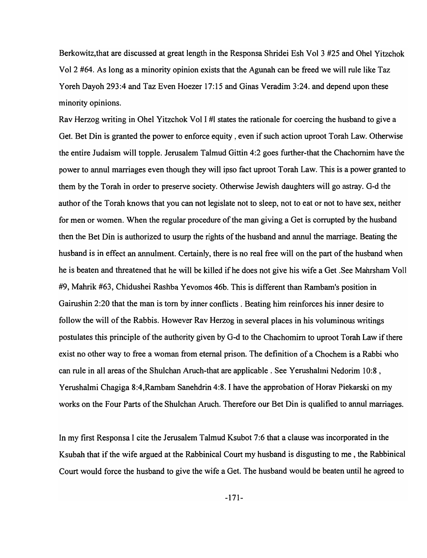Berkowitz,that are discussed at great length in the Responsa Shridei Esh Vol 3 #25 and Ohel Yitzchok Vol 2 #64. As long as a minority opinion exists that the Agunah can be freed we will rule like Taz Yoreh Dayoh 293:4 and Taz Even Hoezer 17:15 and Ginas Veradim 3:24. and depend upon these minority opinions.

Rav Herzog writing in Ohel Yitzchok Vol I #1 states the rationale for coercing the husband to give a Get. Bet Din is granted the power to enforce equity, even if such action uproot Torah Law. Otherwise the entire Judaism will topple. Jerusalem Talmud Gittin 4:2 goes further-that the Chachornim have the power to annul marriages even though they will ipso fact uproot Torah Law. This is a power granted to them by the Torah in order to preserve society. Otherwise Jewish daughters will go astray. G-d the author of the Torah knows that you can not legislate not to sleep, not to eat or not to have sex, neither for men or women. When the regular procedure of the man giving a Get is corrupted by the husband then the Bet Din is authorized to usurp the rights of the husband and annul the marriage. Beating the husband is in effect an annulment. Certainly, there is no real free will on the part of the husband when he is beaten and threatened that he will be killed if he does not give his wife a Get .See Mahrsham Voll #9, Mahrik #63, Chidushei Rashba Yevomos 46b. This is different than Rambam's position in Gairushin 2:20 that the man is torn by inner conflicts. Beating him reinforces his inner desire to follow the will of the Rabbis. However Rav Herzog in several places in his voluminous writings postulates this principle of the authority given by G-d to the Chachomim to uproot Torah Law if there exist no other way to free a woman from eternal prison. The definition of a Chochem is a Rabbi who can rule in all areas of the Shulchan Aruch-that are applicable. See Yerushalmi Nedorim 10:8 , Yerushalmi Chagiga 8:4,Rambam Sanehdrin 4:8. I have the approbation of Horav Piekarski on my works on the Four Parts of the Shulchan Aruch. Therefore our Bet Din is qualified to annul marriages.

In my first Responsa I cite the Jerusalem Talmud Ksubot 7:6 that a clause was incorporated in the Ksubah that if the wife argued at the Rabbinical Court my husband is disgusting to me , the Rabbinical Court would force the husband to give the wife a Get. The husband would be beaten until he agreed to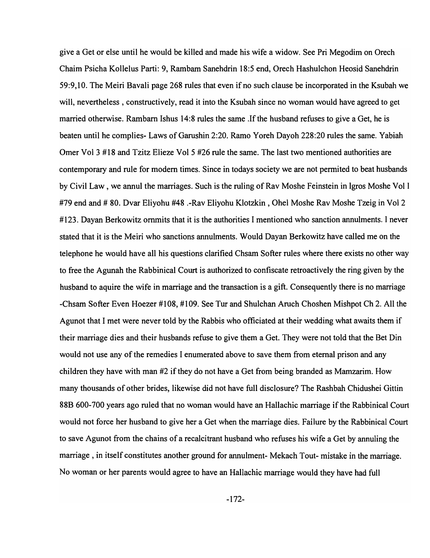give a Get or else until he would be killed and made his wife a widow. See Pri Megodim on Orech Chaim Psicha Kollelus Parti: 9, Rambam Sanehdrin 18:5 end, Orech Hashulchon Heosid Sanehdrin 59:9,10. The Meiri Bavali page 268 rules that even if no such clause be incorporated in the Ksubah we will, nevertheless , constructively, read it into the Ksubah since no woman would have agreed to get married otherwise. Rambam Ishus 14:8 rules the same .If the husband refuses to give a Get, he is beaten until he complies- Laws of Garushin 2:20. Ramo Yoreh Dayoh 228:20 rules the same. Yabiah Orner Vol 3 #18 and Tzitz Elieze Vol 5 #26 rule the same. The last two mentioned authorities are contemporary and rule for modem times. Since in todays society we are not permited to beat husbands by Civil Law, we annul the marriages. Such is the ruling of Rav Moshe Feinstein in Igros Moshe Vol I #79 end and # 80. Dvar Eliyohu #48 .-Rav Eliyohu Klotzkin , Ohel Moshe Rav Moshe Tzeig in Vol 2 # 123. Dayan Berkowitz ommits that it is the authorities I mentioned who sanction annulments. I never stated that it is the Meiri who sanctions annulments. Would Dayan Berkowitz have called me on the telephone he would have all his questions clarified Chsam Softer rules where there exists no other way to free the Agunah the Rabbinical Court is authorized to confiscate retroactively the ring given by the husband to aquire the wife in marriage and the transaction is a gift. Consequently there is no marriage -Chsam Softer Even Hoezer #108, #109. See Tur and Shulchan Aruch Choshen Mishpot Ch 2. All the Agunot that I met were never told by the Rabbis who officiated at their wedding what awaits them if their marriage dies and their husbands refuse to give them a Get. They were not told that the Bet Din would not use any of the remedies I enumerated above to save them from eternal prison and any children they have with man #2 if they do not have a Get from being branded as Mamzarim. How many thousands of other brides, likewise did not have full disclosure? The Rashbah Chidushei Gittin 88B 600-700 years ago ruled that no woman would have an Hallachic marriage if the Rabbinical Court would not force her husband to give her a Get when the marriage dies. Failure by the Rabbinical Court to save Agunot from the chains of a recalcitrant husband who refuses his wife a Get by annuling the marriage, in itself constitutes another ground for annulment- Mekach Tout- mistake in the marriage. No woman or her parents would agree to have an Hallachic marriage would they have had full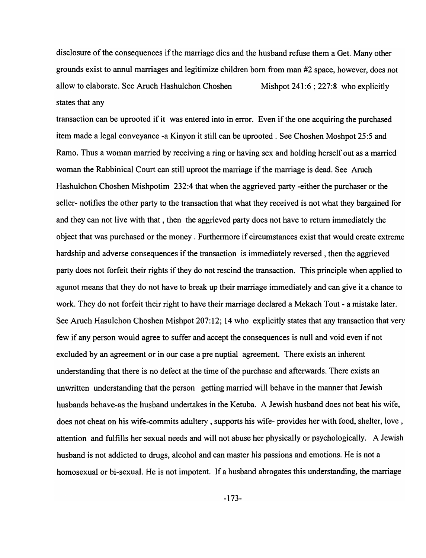disclosure of the consequences if the marriage dies and the husband refuse them a Get. Many other grounds exist to annul marriages and legitimize children born from man #2 space, however, does not allow to elaborate. See Aruch Hashulchon Choshen Mishpot 241:6; 227:8 who explicitly states that any

transaction can be uprooted if it was entered into in error. Even if the one acquiring the purchased item made a legal conveyance -a Kinyon it still can be uprooted. See Choshen Moshpot 25:5 and Ramo. Thus a woman married by receiving a ring or having sex and holding herself out as a married woman the Rabbinical Court can still uproot the marriage if the marriage is dead. See Aruch Hashulchon Choshen Mishpotim 232:4 that when the aggrieved party -either the purchaser or the seller- notifies the other party to the transaction that what they received is not what they bargained for and they can not live with that, then the aggrieved party does not have to return immediately the object that was purchased or the money. Furthermore if circumstances exist that would create extreme hardship and adverse consequences if the transaction is immediately reversed, then the aggrieved party does not forfeit their rights if they do not rescind the transaction. This principle when applied to agunot means that they do not have to break up their marriage immediately and can give it a chance to work. They do not forfeit their right to have their marriage declared a Mekach Tout - a mistake later. See Aruch Hasulchon Choshen Mishpot 207:12; 14 who explicitly states that any transaction that very few if any person would agree to suffer and accept the consequences is null and void even if not excluded by an agreement or in our case a pre nuptial agreement. There exists an inherent understanding that there is no defect at the time of the purchase and afterwards. There exists an unwritten understanding that the person getting married will behave in the manner that Jewish husbands behave-as the husband undertakes in the Ketuba. A Jewish husband does not beat his wife, does not cheat on his wife-commits adultery, supports his wife- provides her with food, shelter, love, attention and fulfills her sexual needs and will not abuse her physically or psychologically. A Jewish husband is not addicted to drugs, alcohol and can master his passions and emotions. He is not a homosexual or bi-sexual. He is not impotent. If a husband abrogates this understanding, the marriage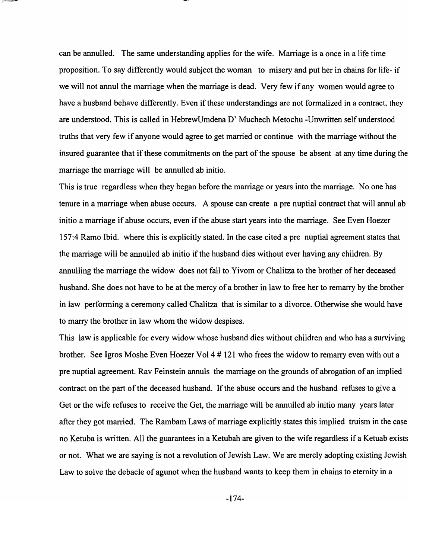can be annulled. The same understanding applies for the wife. Marriage is a once in a life time proposition. To say differently would subject the woman to misery and put her in chains for life- if we will not annul the marriage when the marriage is dead. Very few if any women would agree to have a husband behave differently. Even if these understandings are not formalized in a contract, they are understood. This is called in HebrewUmdena D' Muchech Metochu -Unwritten self understood truths that very few if anyone would agree to get married or continue with the marriage without the insured guarantee that if these commitments on the part of the spouse be absent at any time during the marriage the marriage will be annulled ab initio.

This is true regardless when they began before the marriage or years into the marriage. No one has tenure in a marriage when abuse occurs. A spouse can create a pre nuptial contract that will annul ab initio a marriage if abuse occurs, even if the abuse start years into the marriage. See Even Hoezer 157:4 Ramo Ibid. where this is explicitly stated. In the case cited a pre nuptial agreement states that the marriage will be annulled ab initio if the husband dies without ever having any children. By annulling the marriage the widow does not fall to Yivom or Chalitza to the brother of her deceased husband. She does not have to be at the mercy of a brother in law to free her to remarry by the brother in law performing a ceremony called Chalitza that is similar to a divorce. Otherwise she would have to marry the brother in law whom the widow despises.

This law is applicable for every widow whose husband dies without children and who has a surviving brother. See Igros Moshe Even Hoezer Vol 4 # 121 who frees the widow to remarry even with out a pre nuptial agreement. Rav Feinstein annuls the marriage on the grounds of abrogation of an implied contract on the part of the deceased husband. If the abuse occurs and the husband refuses to give a Get or the wife refuses to receive the Get, the marriage will be annulled ab initio many years later after they got married. The Rambam Laws of marriage explicitly states this implied truism in the case no Ketuba is written. All the guarantees in a Ketubah are given to the wife regardless if a Ketuab exists or not. What we are saying is not a revolution of Jewish Law. We are merely adopting existing Jewish Law to solve the debacle of agunot when the husband wants to keep them in chains to eternity in a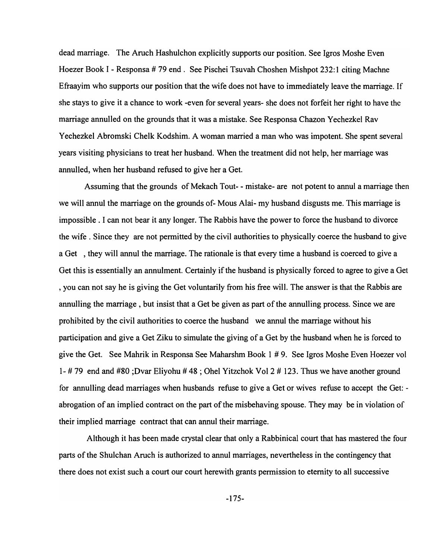dead marriage. The Aruch Hashulchon explicitly supports our position. See Igros Moshe Even Hoezer Book I - Responsa # 79 end. See Pischei Tsuvah Choshen Mishpot 232:1 citing Machne Efraayim who supports our position that the wife does not have to immediately leave the marriage. If she stays to give it a chance to work -even for several years- she does not forfeit her right to have the marriage annulled on the grounds that it was a mistake. See Responsa Chazon Yechezkel Rav Yechezkel Abromski Chelk Kodshim. A woman married a man who was impotent. She spent several years visiting physicians to treat her husband. When the treatment did not help, her marriage was annulled, when her husband refused to give her a Get.

Assuming that the grounds of Mekach Tout- - mistake- are not potent to annul a marriage then we will annul the marriage on the grounds of- Mous Alai- my husband disgusts me. This marriage is impossible. I can not bear it any longer. The Rabbis have the power to force the husband to divorce the wife. Since they are not permitted by the civil authorities to physically coerce the husband to give a Get, they will annul the marriage. The rationale is that every time a husband is coerced to give a Get this is essentially an annulment. Certainly if the husband is physically forced to agree to give a Get , you can not say he is giving the Get voluntarily from his free will. The answer is that the Rabbis are annulling the marriage, but insist that a Get be given as part of the annulling process. Since we are prohibited by the civil authorities to coerce the husband we annul the marriage without his participation and give a Get Ziku to simulate the giving of a Get by the husband when he is forced to give the Get. See Mahrik in Responsa See Maharshm Book 1 # 9. See Igros Moshe Even Hoezer vol 1- # 79 end and #80 ;Dvar Eliyohu # 48 ; Ohel Yitzchok Vol 2 # 123. Thus we have another ground for annulling dead marriages when husbands refuse to give a Get or wives refuse to accept the Get: abrogation of an implied contract on the part of the misbehaving spouse. They may be in violation of their implied marriage contract that can annul their marriage.

Although it has been made crystal clear that only a Rabbinical court that has mastered the four parts of the Shulchan Aruch is authorized to annul marriages, nevertheless in the contingency that there does not exist such a court our court herewith grants permission to eternity to all successive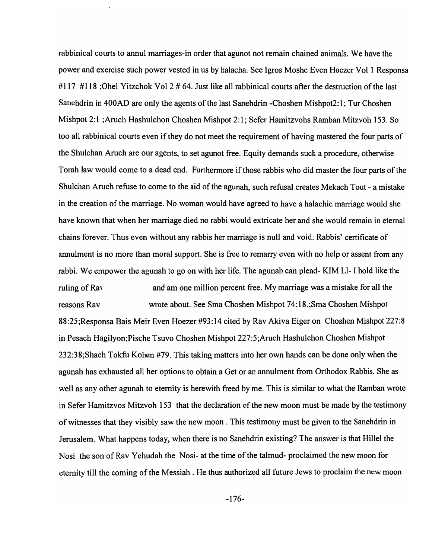rabbinical courts to annul marriages-in order that agunot not remain chained animals. We have the power and exercise such power vested in us by halacha. See Igros Moshe Even Hoezer Vol 1 Responsa #117 #118; Ohel Yitzchok Vol 2 # 64. Just like all rabbinical courts after the destruction of the last Sanehdrin in 400AD are only the agents of the last Sanehdrin -Choshen Mishpot2: 1; Tur Choshen Mishpot 2:1 ;Aruch Hashulchon Choshen Mishpot 2:1; Sefer Hamitzvohs Ramban Mitzvoh 153. So too all rabbinical courts even if they do not meet the requirement of having mastered the four parts of the Shulchan Aruch are our agents, to set agunot free. Equity demands such a procedure, otherwise Torah law would come to a dead end. Furthermore if those rabbis who did master the four parts of the Shulchan Aruch refuse to come to the aid of the agunah, such refusal creates Mekach Tout - a mistake in the creation of the marriage. No woman would have agreed to have a halachic marriage would she have known that when her marriage died no rabbi would extricate her and she would remain in eternal chains forever. Thus even without any rabbis her marriage is null and void. Rabbis' certificate of annulment is no more than moral support. She is free to remarry even with no help or assent from any rabbi. We empower the agunah to go on with her life. The agunah can plead- KIM LI- I hold like the ruling of Ray reasons Rav and am one million percent free. My marriage was a mistake for all the wrote about. See Sma Choshen Mishpot 74:18.;Sma Choshen Mishpot 88:25;Responsa Bais Meir Even Hoezer #93:14 cited by Rav Akiva Eiger on Choshen Mishpot 227:8 in Pesach Hagilyon;Pische Tsuvo Choshen Mishpot 227:5;Aruch Hashulchon Choshen Mishpot 232:38;Shach Tokfu Kohen #79. This taking matters into her own hands can be done only when the agunah has exhausted all her options to obtain a Get or an annulment from Orthodox Rabbis. She as well as any other agunah to eternity is herewith freed by me. This is similar to what the Ramban wrote in Sefer Hamitzvos Mitzvoh 153 that the declaration of the new moon must be made by the testimony of witnesses that they visibly saw the new moon. This testimony must be given to the Sanehdrin in Jerusalem. What happens today, when there is no Sanehdrin existing? The answer is that Hillel the Nosi the son of Rav Yehudah the Nosi- at the time of the talmud- proclaimed the new moon for eternity till the coming of the Messiah. He thus authorized all future Jews to proclaim the new moon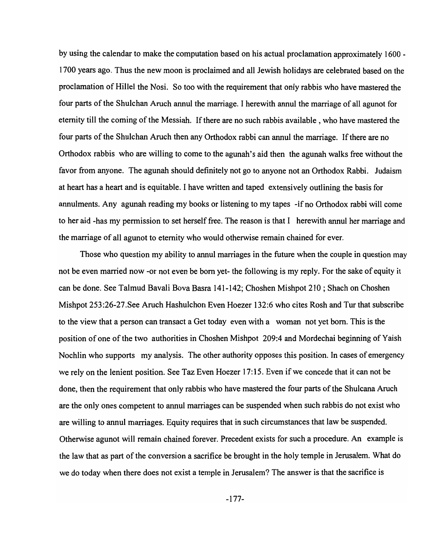by using the calendar to make the computation based on his actual proclamation approximately 1600 - 1700 years ago. Thus the new moon is proclaimed and all Jewish holidays are celebrated based on the proclamation of Hillel the Nosi. So too with the requirement that only rabbis who have mastered the four parts of the Shulchan Aruch annul the marriage. I herewith annul the marriage of all agunot for eternity till the coming of the Messiah. If there are no such rabbis available, who have mastered the four parts of the Shulchan Aruch then any Orthodox rabbi can annul the marriage. If there are no Orthodox rabbis who are willing to come to the agunah's aid then the agunah walks free without the favor from anyone. The agunah should definitely not go to anyone not an Orthodox Rabbi. Judaism at heart has a heart and is equitable. I have written and taped extensively outlining the basis for annulments. Any agunah reading my books or listening to my tapes -if no Orthodox rabbi will come to her aid -has my permission to set herself free. The reason is that I herewith annul her marriage and the marriage of all agunot to eternity who would otherwise remain chained for ever.

Those who question my ability to annul marriages in the future when the couple in question may not be even married now -or not even be born yet- the following is my reply. For the sake of equity it can be done. See Talmud Bavali Bova Basra 141-142; Choshen Mishpot 210 ; Shach on Choshen Mishpot 253:26-27.See Aruch Hashulchon Even Hoezer 132:6 who cites Rosh and Tur that subscribe to the view that a person can transact a Get today even with a woman not yet born. This is the position of one of the two authorities in Choshen Mishpot 209:4 and Mordechai beginning of Yaish Nochlin who supports my analysis. The other authority opposes this position. In cases of emergency we rely on the lenient position. See Taz Even Hoezer 17:15. Even if we concede that it can not be done, then the requirement that only rabbis who have mastered the four parts of the Shulcana Aruch are the only ones competent to annul marriages can be suspended when such rabbis do not exist who are willing to annul marriages. Equity requires that in such circumstances that law be suspended. Otherwise agunot will remain chained forever. Precedent exists for such a procedure. An example is the law that as part of the conversion a sacrifice be brought in the holy temple in Jerusalem. What do we do today when there does not exist a temple in Jerusalem? The answer is that the sacrifice is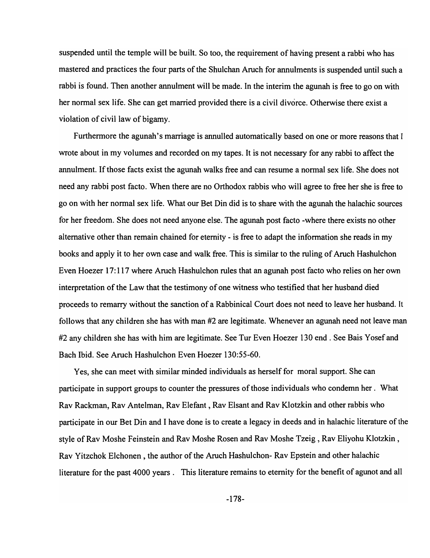suspended until the temple will be built. So too, the requirement of having present a rabbi who has mastered and practices the four parts of the Shulchan Aruch for annulments is suspended until such a rabbi is found. Then another annulment will be made. In the interim the agunah is free to go on with her normal sex life. She can get married provided there is a civil divorce. Otherwise there exist a violation of civil law of bigamy.

Furthermore the agunah's marriage is annulled automatically based on one or more reasons that I wrote about in my volumes and recorded on my tapes. It is not necessary for any rabbi to affect the annulment. If those facts exist the agunah walks free and can resume a normal sex life. She does not need any rabbi post facto. When there are no Orthodox rabbis who will agree to free her she is free to go on with her normal sex life. What our Bet Din did is to share with the agunah the halachic sources for her freedom. She does not need anyone else. The agunah post facto -where there exists no other alternative other than remain chained for eternity - is free to adapt the information she reads in my books and apply it to her own case and walk free. This is similar to the ruling of Aruch Hashulchon Even Hoezer 17: 117 where Aruch Hashulchon rules that an agunah post facto who relies on her own interpretation of the Law that the testimony of one witness who testified that her husband died proceeds to remarry without the sanction of a Rabbinical Court does not need to leave her husband. It follows that any children she has with man #2 are legitimate. Whenever an agunah need not leave man #2 any children she has with him are legitimate. See Tur Even Hoezer 130 end. See Bais Yosef and Bach Ibid. See Aruch Hashulchon Even Hoezer 130:55-60.

Yes, she can meet with similar minded individuals as herself for moral support. She can participate in support groups to counter the pressures of those individuals who condemn her. What Rav Rackman, Rav Antelman, Rav Elefant , Rav Elsant and Rav Klotzkin and other rabbis who participate in our Bet Din and I have done is to create a legacy in deeds and in halachic literature of the style of Rav Moshe Feinstein and Rav Moshe Rosen and Rav Moshe Tzeig , Rav Eliyohu Klotzkin , Rav Yitzchok Elchonen, the author of the Aruch Hashulchon- Rav Epstein and other halachic literature for the past 4000 years. This literature remains to eternity for the benefit of agunot and all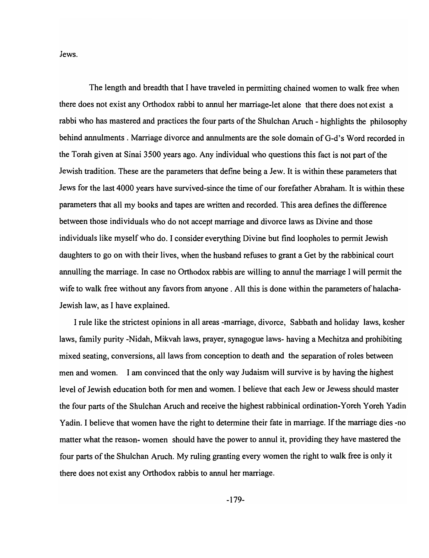Jews.

The length and breadth that I have traveled in permitting chained women to walk free when there does not exist any Orthodox rabbi to annul her marriage-let alone that there does not exist a rabbi who has mastered and practices the four parts of the Shulchan Aruch - highlights the philosophy behind annulments. Marriage divorce and annulments are the sole domain of G-d's Word recorded in the Torah given at Sinai 3500 years ago. Any individual who questions this fact is not part of the Jewish tradition. These are the parameters that define being a Jew. It is within these parameters that Jews for the last 4000 years have survived-since the time of our forefather Abraham. It is within these parameters that all my books and tapes are written and recorded. This area defines the difference between those individuals who do not accept marriage and divorce laws as Divine and those individuals like myself who do. I consider everything Divine but find loopholes to permit Jewish daughters to go on with their lives, when the husband refuses to grant a Get by the rabbinical court annulling the marriage. In case no Orthodox rabbis are willing to annul the marriage I will permit the wife to walk free without any favors from anyone. All this is done within the parameters of halacha-Jewish law, as I have explained.

I rule like the strictest opinions in all areas -marriage, divorce, Sabbath and holiday laws, kosher laws, family purity -Nidah, Mikvah laws, prayer, synagogue laws- having a Mechitza and prohibiting mixed seating, conversions, all laws from conception to death and the separation of roles between men and women. I am convinced that the only way Judaism will survive is by having the highest level of Jewish education both for men and women. I believe that each Jew or Jewess should master the four parts of the Shulchan Aruch and receive the highest rabbinical ordination-Y oreh Y oreh Yadin Yadin. I believe that women have the right to determine their fate in marriage. If the marriage dies -no matter what the reason- women should have the power to annul it, providing they have mastered the four parts of the Shulchan Aruch. My ruling granting every women the right to walk free is only it there does not exist any Orthodox rabbis to annul her marriage.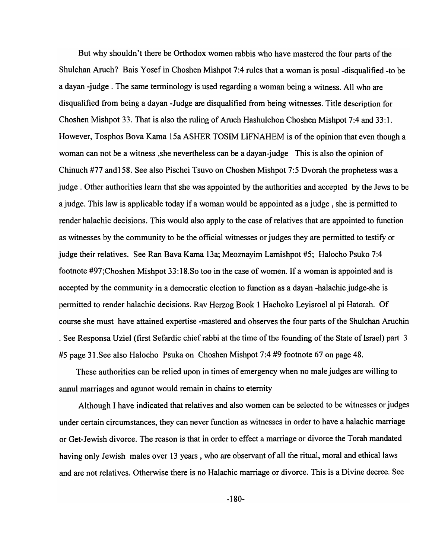But why shouldn't there be Orthodox women rabbis who have mastered the four parts of the Shulchan Aruch? Bais Yosef in Choshen Mishpot 7:4 rules that a woman is posul -disqualified -to be a dayan -judge. The same terminology is used regarding a woman being a witness. All who are disqualified from being a dayan -Judge are disqualified from being witnesses. Title description for Choshen Mishpot 33. That is also the ruling of Aruch Hashulchon Choshen Mishpot 7:4 and 33:1. However, Tosphos Bova Kama 15a ASHER TOSIM LIFNAHEM is of the opinion that even though a woman can not be a witness ,she nevertheless can be a dayan-judge This is also the opinion of Chinuch #77 and158. See also Pischei Tsuvo on Choshen Mishpot 7:5 Dvorah the prophetess was a judge. Other authorities learn that she was appointed by the authorities and accepted by the Jews to be a judge. This law is applicable today if a woman would be appointed as a judge, she is permitted to render halachic decisions. This would also apply to the case of relatives that are appointed to function as witnesses by the community to be the official witnesses or judges they are permitted to testify or judge their relatives. See Ran Bava Kama 13a; Meoznayim Lamishpot #5; Halocho Psuko 7:4 footnote #97;Choshen Mishpot 33:18. So too in the case of women. If a woman is appointed and is accepted by the community in a democratic election to function as a dayan -halachic judge-she is permitted to render halachic decisions. Rav Herzog Book 1 Hachoko Leyisroel al pi Hatorah. Of course she must have attained expertise -mastered and observes the four parts of the Shulchan Aruchin . See Responsa Uziel (first Sefardic chief rabbi at the time of the founding of the State of Israel) part 3 #5 page 31.See also Halocho Psuka on Choshen Mishpot 7:4 #9 footnote 67 on page 48.

These authorities can be relied upon in times of emergency when no male judges are willing to annul marriages and agunot would remain in chains to eternity

Although I have indicated that relatives and also women can be selected to be witnesses or judges under certain circumstances, they can never function as witnesses in order to have a halachic marriage or Get-Jewish divorce. The reason is that in order to effect a marriage or divorce the Torah mandated having only Jewish males over 13 years, who are observant of all the ritual, moral and ethical laws and are not relatives. Otherwise there is no Halachic marriage or divorce. This is a Divine decree. See

-180-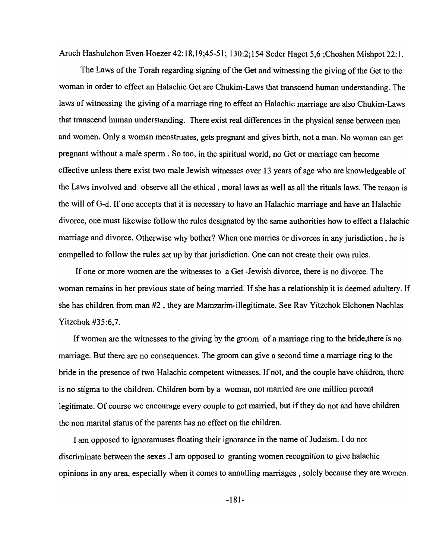Aruch Hashulchon Even Hoezer 42:18,19;45-51; 130:2;154 Seder Haget 5,6 ;Choshen Mishpot 22:1.

The Laws of the Torah regarding signing of the Get and witnessing the giving of the Get to the woman in order to effect an Halachic Get are Chukim-Laws that transcend human understanding. The laws of witnessing the giving of a marriage ring to effect an Halachic marriage are also Chukim-Laws that transcend human understanding. There exist real differences in the physical sense between men and women. Only a woman menstruates, gets pregnant and gives birth, not a man. No woman can get pregnant without a male sperm. So too, in the spiritual world, no Get or marriage can become effective unless there exist two male Jewish witnesses over 13 years of age who are knowledgeable of the Laws involved and observe all the ethical, moral laws as well as all the rituals laws. The reason is the will of G-d. If one accepts that it is necessary to have an Halachic marriage and have an Halachic divorce, one must likewise follow the rules designated by the same authorities how to effect a Halachic marriage and divorce. Otherwise why bother? When one marries or divorces in any jurisdiction, he is compelled to follow the rules set up by that jurisdiction. One can not create their own rules.

If one or more women are the witnesses to a Get -Jewish divorce, there is no divorce. The woman remains in her previous state of being married. If she has a relationship it is deemed adultery. If she has children from man #2 , they are Mamzarim-illegitimate. See Rav Yitzchok Elchonen Nachlas Yitzchok #35:6,7.

If women are the witnesses to the giving by the groom of a marriage ring to the bride, there is no marriage. But there are no consequences. The groom can give a second time a marriage ring to the bride in the presence of two Halachic competent witnesses. If not, and the couple have children, there is no stigma to the children. Children born by a woman, not married are one million percent legitimate. Of course we encourage every couple to get married, but if they do not and have children the non marital status of the parents has no effect on the children.

I am opposed to ignoramuses floating their ignorance in the name of Judaism. I do not discriminate between the sexes .I am opposed to granting women recognition to give halachic opinions in any area, especially when it comes to annulling marriages, solely because they are women.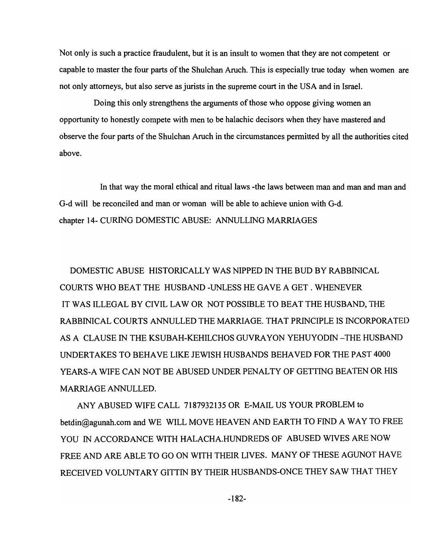Not only is such a practice fraudulent, but it is an insult to women that they are not competent or capable to master the four parts of the Shulchan Aruch. This is especially true today when women are not only attorneys, but also serve as jurists in the supreme court in the USA and in Israel.

Doing this only strengthens the arguments of those who oppose giving women an opportunity to honestly compete with men to be halachic decisors when they have mastered and observe the four parts of the Shulchan Aruch in the circumstances permitted by all the authorities cited above.

In that way the moral ethical and ritual laws -the laws between man and man and man and G-d will be reconciled and man or woman will be able to achieve union with G-d. chapter 14- CURING DOMESTIC ABUSE: ANNULLING MARRIAGES

DOMESTIC ABUSE HISTORICALLY WAS NIPPED IN THE BUD BY RABBINICAL COURTS WHO BEAT THE HUSBAND -UNLESS HE GAVE A GET. WHENEVER IT WAS ILLEGAL BY CIVIL LAW OR NOT POSSIBLE TO BEAT THE HUSBAND, THE RABBINICAL COURTS ANNULLED THE MARRIAGE. THAT PRINCIPLE IS INCORPORATED AS A CLAUSE IN THE KSUBAH-KEHILCHOS GUVRA YON YEHUYODIN -THE HUSBAND UNDERTAKES TO BEHAVE LIKE JEWISH HUSBANDS BEHAVED FOR THE PAST 4000 YEARS-A WIFE CAN NOT BE ABUSED UNDER PENALTY OF GETTING BEATEN OR HIS MARRIAGE ANNULLED.

ANY ABUSED WIFE CALL 7187932135 OR E-MAIL US YOUR PROBLEM to betdin@agunah.com and WE WILL MOVE HEAVEN AND EARTH TO FIND A WAY TO FREE YOU IN ACCORDANCE WITH HALACHA.HUNDREDS OF ABUSED WIVES ARE NOW FREE AND ARE ABLE TO GO ON WITH THEIR LIVES. MANY OF THESE AGUNOT HAVE RECEIVED VOLUNTARY GITTIN BY THEIR HUSBANDS-ONCE THEY SAW THAT THEY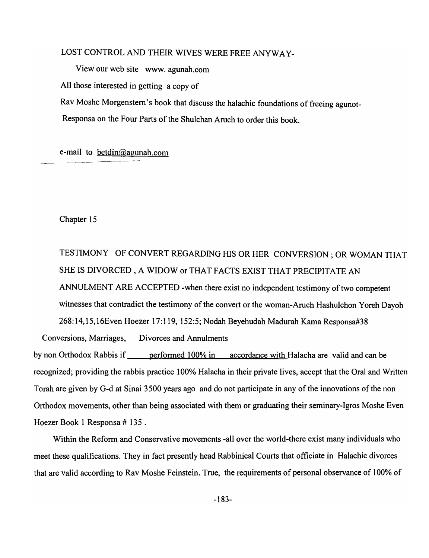# LOST CONTROL AND THEIR WIVES WERE FREE ANYWAY-

View our web site www.agunah.com

All those interested in getting a copy of

Rav Moshe Morgenstern's book that discuss the halachic foundations of freeing agunot-

Responsa on the Four Parts of the Shulchan Aruch to order this book.

e-mail to betdin@agunah.com

Chapter 15

TESTIMONY OF CONVERT REGARDING HIS OR HER CONVERSION; OR WOMAN THAT SHE IS DIVORCED, A WIDOW or THAT FACTS EXIST THAT PRECIPITATE AN ANNULMENT ARE ACCEPTED -when there exist no independent testimony of two competent witnesses that contradict the testimony of the convert or the woman-Aruch Hashulchon Yoreh Dayoh 268:14,15,16Even Hoezer 17:119, 152:5; Nodah Beyehudah Madurah Kama Responsa#38

Conversions, Marriages, Divorces and Annulments

by non Orthodox Rabbis if <u>earformed 100% in accordance with</u> Halacha are valid and can be recognized; providing the rabbis practice 100% Halacha in their private lives, accept that the Oral and Written Torah are given by G-d at Sinai 3500 years ago and do not participate in any of the innovations of the non Orthodox movements, other than being associated with them or graduating their seminary-Igros Moshe Even Hoezer Book 1 Responsa # 135 .

Within the Reform and Conservative movements -all over the world-there exist many individuals who meet these qualifications. They in fact presently head Rabbinical Courts that officiate in Halachic divorces that are valid according to Rav Moshe Feinstein. True, the requirements of personal observance of 100% of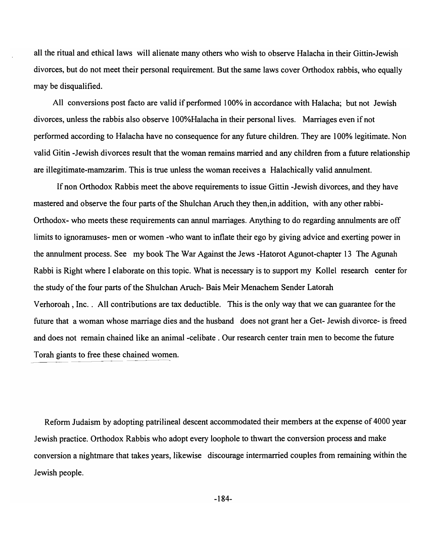all the ritual and ethical laws will alienate many others who wish to observe Halacha in their Gittin-Jewish divorces, but do not meet their personal requirement. But the same laws cover Orthodox rabbis, who equally may be disqualified.

All conversions post facto are valid if performed 100% in accordance with Halacha; but not Jewish divorces, unless the rabbis also observe 100%Halacha in their personal lives. Marriages even if not performed according to Halacha have no consequence for any future children. They are 100% legitimate. Non valid Gitin -Jewish divorces result that the woman remains married and any children from a future relationship are illegitimate-mamzarim. This is true unless the woman receives a Halachically valid annulment.

If non Orthodox Rabbis meet the above requirements to issue Gittin -Jewish divorces, and they have mastered and observe the four parts of the Shulchan Aruch they then,in addition, with any other rabbi-Orthodox- who meets these requirements can annul marriages. Anything to do regarding annulments are off limits to ignoramuses- men or women -who want to inflate their ego by giving advice and exerting power in the annulment process. See my book The War Against the Jews -Hatorot Agunot-chapter 13 The Agunah Rabbi is Right where I elaborate on this topic. What is necessary is to support my Kollel research center for the study of the four parts of the Shulchan Aruch- Bais Meir Menachem Sender Latorah Verhoroah , Inc.. All contributions are tax deductible. This is the only way that we can guarantee for the future that a woman whose marriage dies and the husband does not grant her a Get- Jewish divorce- is freed and does not remain chained like an animal-celibate. Our research center train men to become the future Torah giants to free these chained women.

Reform Judaism by adopting patrilineal descent accommodated their members at the expense of 4000 year Jewish practice. Orthodox Rabbis who adopt every loophole to thwart the conversion process and make conversion a nightmare that takes years, likewise discourage intermarried couples from remaining within the Jewish people.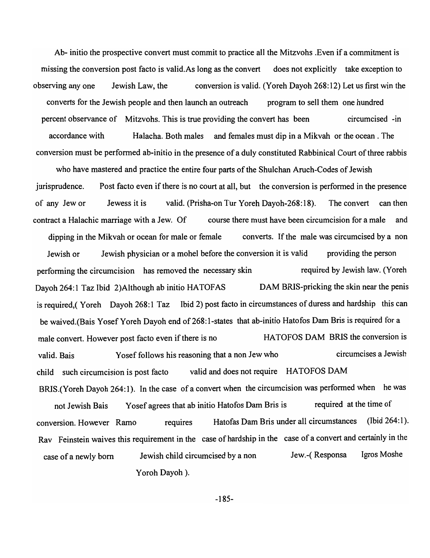Ab- initio the prospective convert must commit to practice all the Mitzvohs .Even if a commitment is missing the conversion post facto is valid.As long as the convert does not explicitly take exception to observing anyone Jewish Law, the conversion is valid. (Yoreh Dayoh 268:12) Let us first win the converts for the Jewish people and then launch an outreach program to sell them one hundred percent observance of Mitzvohs. This is true providing the convert has been circumcised -in accordance with Halacha. Both males and females must dip in a Mikvah or the ocean. The conversion must be performed ab-initio in the presence of a duly constituted Rabbinical Court of three rabbis

who have mastered and practice the entire four parts of the Shulchan Aruch-Codes of Jewish jurisprudence. of any Jew or Post facto even if there is no court at all, but the conversion is performed in the presence Jewess it is valid. (Prisha-on Tur Yoreh Dayoh-268:18). The convert can then contract a Halachic marriage with a Jew. Of course there must have been circumcision for a male and dipping in the Mikvah or ocean for male or female converts. If the male was circumcised by a non Jewish or Jewish physician or a mohel before the conversion it is valid providing the person performing the circumcision has removed the necessary skin required by Jewish law. (Yoreh Dayoh 264:1 Taz Ibid 2)Although ab initio HATOFAS DAM BRIS-pricking the skin near the penis is required,( Yoreh Dayoh 268:1 Taz Ibid 2) post facto in circumstances of duress and hardship this can be waived.(Bais Yosef Yoreh Dayoh end of 268: I-states that ab-initio Hatofos Dam Bris is required for a male convert. However post facto even if there is no HATOFOS DAM BRIS the conversion is valid. Bais Yosef follows his reasoning that a non Jew who circumcises a Jewish child such circumcision is post facto valid and does not require HATOFOS DAM BRIS.(Yoreh Dayoh 264:1). In the case of a convert when the circumcision was performed when he was not Jewish Bais Yosef agrees that ab initio Hatofos Dam Bris is required at the time of conversion. However Ramo requires Hatofas Dam Bris under all circumstances (Ibid 264:1). Rav Feinstein waives this requirement in the case of hardship in the case of a convert and certainly in the

case of a newly born Jewish child circumcised by a non Jew.-( Responsa Igros Moshe Yoroh Dayoh).

-185-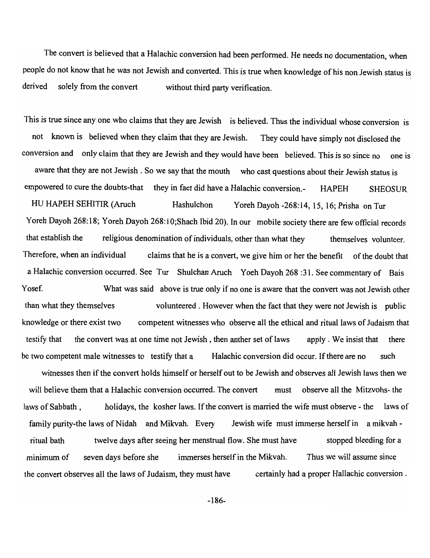The convert is believed that a Halachic conversion had been performed. He needs no documentation, when people do not know that he was not Jewish and converted. This is true when knowledge of his non Jewish status is derived solely from the convert without third party verification.

This is true since anyone who claims that they are Jewish is believed. Thus the individual whose conversion is not known is believed when they claim that they are Jewish. They could have simply not disclosed the conversion and only claim that they are Jewish and they would have been believed. This is so since no one is aware that they are not Jewish. So we say that the mouth who cast questions about their Jewish status is empowered to cure the doubts-that they in fact did have a Halachic conversion.- HAPEH SHEOSUR HU HAPEH SEHITIR (Aruch Hashulchon Yoreh Dayoh -268:14, 15, 16; Prisha on Tur Yoreh Dayoh 268: 18; Yoreh Dayoh 268: 10;Shach Ibid 20). In our mobile society there are few official records that establish the religious denomination of individuals, other than what they themselves volunteer. Therefore, when an individual claims that he is a convert, we give him or her the benefit of the doubt that a Halachic conversion occurred. See Tur Shulchan Aruch Y oeh Dayoh 268 :31. See commentary of Bais Y osef. What was said above is true only if no one is aware that the convert was not Jewish other than what they themselves volunteered. However when the fact that they were not Jewish is public knowledge or there exist two competent witnesses who observe all the ethical and ritual laws of Judaism that testify that the convert was at one time not Jewish, then anther set of laws apply. We insist that there be two competent male witnesses to testify that a Halachic conversion did occur. If there are no such witnesses then if the convert holds himself or herself out to be Jewish and observes all Jewish laws then we will believe them that a Halachic conversion occurred. The convert must observe all the Mitzvohs- the laws of Sabbath, holidays, the kosher laws. If the convert is married the wife must observe - the laws of family purity-the laws of Nidah and Mikvah. Every Jewish wife must immerse herself in a mikvahritual bath twelve days after seeing her menstrual flow. She must have stopped bleeding for a minimum of seven days before she immerses herself in the Mikvah. Thus we will assume since the convert observes all the laws of Judaism, they must have certainly had a proper Hallachic conversion.

-186-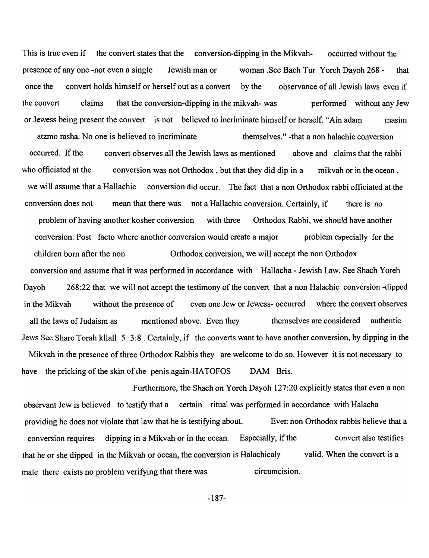This is true even if the convert states that the conversion-dipping in the Mikvah- occurred without the presence of anyone -not even a single Jewish man or woman .See Bach Tur Yoreh Dayoh 268 - that once the convert holds himself or herself out as a convert by the observance of all Jewish laws even if the convert claims that the conversion-dipping in the mikvah- was performed without any Jew or Jewess being present the convert is not believed to incriminate himself or herself. "Ain adam masim atzmo rasha. No one is believed to incriminate themselves." -that a non halachic conversion occurred. If the who officiated at the convert observes all the Jewish laws as mentioned above and claims that the rabbi conversion was not Orthodox, but that they did dip in a mikvah or in the ocean, we will assume that a Hallachic conversion did occur. The fact that a non Orthodox rabbi officiated at the conversion does not mean that there was not a Hallachic conversion. Certainly, if there is no problem of having another kosher conversion with three Orthodox Rabbi, we should have another conversion. Post facto where another conversion would create a major problem especially for the children born after the non Orthodox conversion, we will accept the non Orthodox conversion and assume that it was performed in accordance with Hallacha - Jewish Law. See Shach Yoreh Dayoh 268:22 that we will not accept the testimony of the convert that a non Halachic conversion -dipped in the Mikvah without the presence of even one Jew or Jewess- occurred where the convert observes all the laws of Judaism as mentioned above. Even they themselves are considered authentic Jews See Share Torah kllall 5 :3:8 . Certainly, if the converts want to have another conversion, by dipping in the Mikvah in the presence of three Orthodox Rabbis they are welcome to do so. However it is not necessary to have the pricking of the skin of the penis again-HATOFOS DAM Bris.

Furthermore, the Shach on Yoreh Dayoh 127:20 explicitly states that even a non observant Jew is believed to testify that a certain ritual was performed in accordance with Halacha providing he does not violate that law that he is testifying about. Even non Orthodox rabbis believe that a conversion requires dipping in a Mikvah or in the ocean. Especially, if the convert also testifies that he or she dipped in the Mikvah or ocean, the conversion is Halachicaly valid. When the convert is a male there exists no problem verifying that there was circumcision.

-187-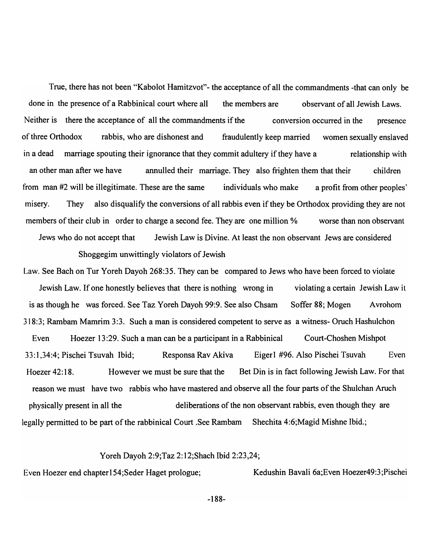True, there has not been "Kabolot Hamitzvot"- the acceptance of all the commandments -that can only be done in the presence of a Rabbinical court where all the members are observant of all Jewish Laws. Neither is there the acceptance of all the commandments if the conversion occurred in the presence of three Orthodox rabbis, who are dishonest and fraudulently keep married women sexually enslaved in a dead marriage spouting their ignorance that they commit adultery if they have a relationship with an other man after we have annulled their marriage. They also frighten them that their children from man #2 will be illegitimate. These are the same individuals who make a profit from other peoples' misery. They also disqualify the conversions of all rabbis even if they be Orthodox providing they are not members of their club in order to charge a second fee. They are one million % worse than non observant Jews who do not accept that Jewish Law is Divine. At least the non observant Jews are considered Shoggegim unwittingly violators of Jewish

Law. See Bach on Tur Yoreh Dayoh 268:35. They can be compared to Jews who have been forced to violate Jewish Law. If one honestly believes that there is nothing wrong in is as though he was forced. See Taz Yoreh Dayoh 99:9. See also Chsam violating a certain Jewish Law it Soffer 88; Mogen Avrohom 318:3; Rambam Mamrim 3:3. Such a man is considered competent to serve as a witness- Oruch Hashulchon Even Hoezer 13:29. Such a man can be a participant in a Rabbinical Court-Choshen Mishpot 33: 1 ,34:4; Pischei Tsuvah Ibid; Responsa Rav Akiva Eigerl #96. Also Pischei Tsuvah Even Hoezer 42:18. However we must be sure that the Bet Din is in fact following Jewish Law. For that reason we must have two rabbis who have mastered and observe all the four parts of the Shulchan Aruch physically present in all the deliberations of the non observant rabbis, even though they are legally permitted to be part of the rabbinical Court .See Rambam Shechita 4:6;Magid Mishne Ibid.;

#### Yoreh Dayoh 2:9;Taz 2:12;Shach Ibid 2:23,24;

Even Hoezer end chapter 154; Seder Haget prologue; Kedushin Bavali 6a; Even Hoezer 49:3; Pischei

-188-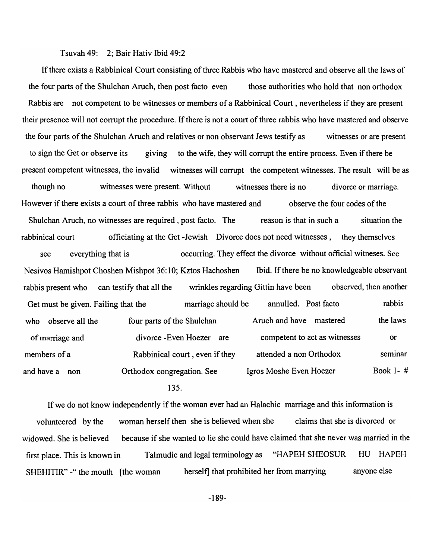#### Tsuvah 49: 2; Bair Hativ Ibid 49:2

If there exists a Rabbinical Court consisting of three Rabbis who have mastered and observe all the laws of the four parts of the Shulchan Aruch, then post facto even those authorities who hold that non orthodox Rabbis are not competent to be witnesses or members of a Rabbinical Court, nevertheless if they are present their presence will not corrupt the procedure. If there is not a court of three rabbis who have mastered and observe the four parts of the Shulchan Aruch and relatives or non observant Jews testify as witnesses or are present to sign the Get or observe its giving to the wife, they will corrupt the entire process. Even if there be present competent witnesses, the invalid witnesses will corrupt the competent witnesses. The result will be as though no witnesses were present. Without witnesses there is no divorce or marriage. However if there exists a court of three rabbis who have mastered and observe the four codes of the Shulchan Aruch, no witnesses are required, post facto. The reason is that in such a situation the rabbinical court officiating at the Get -Jewish Divorce does not need witnesses, they themselves see everything that is occurring. They effect the divorce without official witneses. See Nesivos Hamishpot Choshen Mishpot 36: 10; Kztos Hachoshen Ibid. If there be no knowledgeable observant rabbis present who can testify that all the wrinkles regarding Gittin have been observed, then another Get must be given. Failing that the marriage should be annulled. Post facto rabbis who observe all the four parts of the Shulchan Aruch and have mastered the laws of marriage and members of a and have a non divorce -Even Hoezer are Rabbinical court, even if they Orthodox congregation. See competent to act as witnesses attended a non Orthodox Igros Moshe Even Hoezer or seminar Book 1- #

# 135.

If we do not know independently if the woman ever had an Halachic marriage and this information is volunteered by the woman herself then she is believed when she claims that she is divorced or widowed. She is believed because if she wanted to lie she could have claimed that she never was married in the first place. This is known in Talmudic and legal terminology as "HAPEH SHEOSUR HU HAPEH SHEHITIR" - " the mouth [the woman herself] that prohibited her from marrying anyone else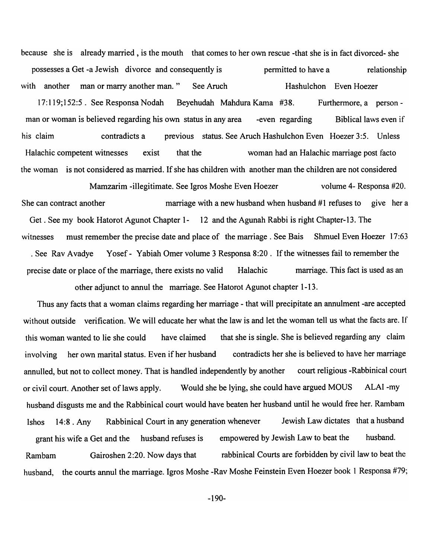because she is already married, is the mouth that comes to her own rescue -that she is in fact divorced- she possesses a Get -a Jewish divorce and consequently is permitted to have a relationship with another man or marry another man." See Aruch Hashulchon Even Hoezer 17: 119; 152:5. See Responsa Nodah Beyehudah Mahdura Kama #38. Furthermore, a personman or woman is believed regarding his own status in any area -even regarding Biblical laws even if his claim contradicts a previous status. See Aruch Hashulchon Even Hoezer 3:5. Unless Halachic competent witnesses exist that the woman had an Halachic marriage post facto the woman is not considered as married. If she has children with another man the children are not considered

Mamzarim -illegitimate. See Igros Moshe Even Hoezer volume 4- Responsa #20. She can contract another marriage with a new husband when husband  $#1$  refuses to give her a Get. See my book Hatorot Agunot Chapter 1- 12 and the Agunah Rabbi is right Chapter-13. The witnesses must remember the precise date and place of the marriage. See Bais Shmuel Even Hoezer 17:63 . See Rav Avadye Yosef - Yabiah Omer volume 3 Responsa 8:20. If the witnesses fail to remember the precise date or place of the marriage, there exists no valid Halachic marriage. This fact is used as an other adjunct to annul the marriage. See Hatorot Agunot chapter 1-13.

Thus any facts that a woman claims regarding her marriage - that will precipitate an annulment -are accepted without outside verification. We will educate her what the law is and let the woman tell us what the facts are. If this woman wanted to lie she could have claimed that she is single. She is believed regarding any claim involving her own marital status. Even if her husband contradicts her she is believed to have her marriage annulled, but not to collect money. That is handled independently by another court religious -Rabbinical court or civil court. Another set of laws apply. Would she be lying, she could have argued MOUS ALAI -my husband disgusts me and the Rabbinical court would have beaten her husband until he would free her. Rambam Ishos 14:8 . Any Rabbinical Court in any generation whenever Jewish Law dictates that a husband grant his wife a Get and the husband refuses is empowered by Jewish Law to beat the husband. Rambam Gairoshen 2:20. Now days that rabbinical Courts are forbidden by civil law to beat the husband, the courts annul the marriage. Igros Moshe -Rav Moshe Feinstein Even Hoezer book 1 Responsa #79;

-190-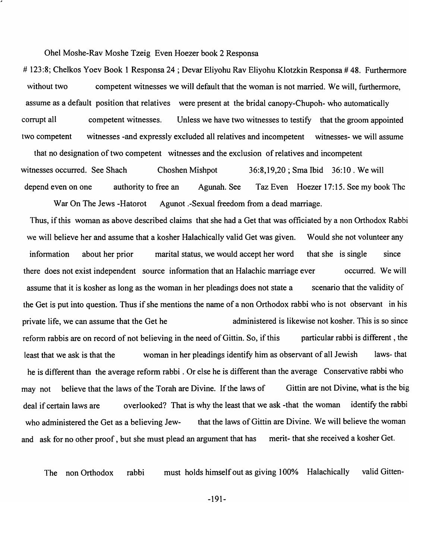Ohel Moshe-Rav Moshe Tzeig Even Hoezer book 2 Responsa

# 123:8; Chelkos Yoev Book 1 Responsa 24 ; Devar Eliyohu Rav Eliyohu Klotzkin Responsa # 48. Furthermore without two competent witnesses we will default that the woman is not married. We will, furthermore, assume as a default position that relatives were present at the bridal canopy-Chupoh- who automatically corrupt all competent witnesses. Unless we have two witnesses to testify that the groom appointed two competent witnesses -and expressly excluded all relatives and incompetent witnesses- we will assume

that no designation of two competent witnesses and the exclusion of relatives and incompetent witnesses occurred. See Shach Choshen Mishpot 36:8,19,20 ; Sma Ibid 36:10. We will depend even on one authority to free an Agunah. See Taz Even Hoezer 17:15. See my book The

War On The Jews -Hatorot Agunot .-Sexual freedom from a dead marriage. Thus, if this woman as above described claims that she had a Get that was officiated by a non Orthodox Rabbi we will believe her and assume that a kosher Halachically valid Get was given. Would she not volunteer any information about her prior marital status, we would accept her word that she is single since there does not exist independent source information that an Halachic marriage ever occurred. We will assume that it is kosher as long as the woman in her pleadings does not state a scenario that the validity of the Get is put into question. Thus if she mentions the name of a non Orthodox rabbi who is not observant in his private life, we can assume that the Get he administered is likewise not kosher. This is so since reform rabbis are on record of not believing in the need of Gittin. So, if this particular rabbi is different, the least that we ask is that the woman in her pleadings identify him as observant of all Jewish laws- that he is different than the average reform rabbi. Or else he is different than the average Conservative rabbi who may not believe that the laws of the Torah are Divine. If the laws of Gittin are not Divine, what is the big deal if certain laws are overlooked? That is why the least that we ask -that the woman identify the rabbi who administered the Get as a believing Jew-<br>that the laws of Gittin are Divine. We will believe the woman and ask for no other proof, but she must plead an argument that has merit- that she received a kosher Get.

The non Orthodox rabbi must holds himself out as giving 100% Halachically valid Gitten-

-191-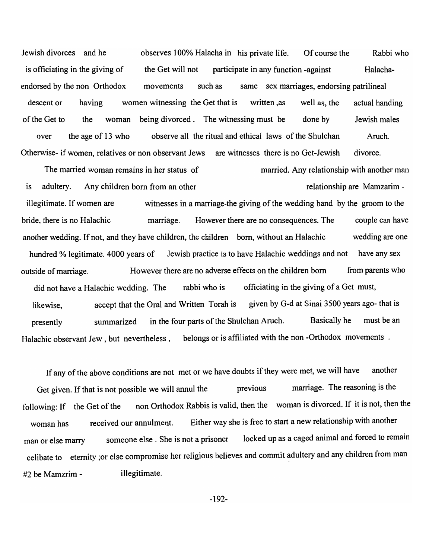Jewish divorces and he observes 100% Halacha in his private life. Of course the Rabbi who is officiating in the giving of the Get will not participate in any function -against Halachaendorsed by the non Orthodox movements such as same sex marriages, endorsing patrilineal descent or having women witnessing the Get that is written ,as well as, the actual handing of the Get to the woman being divorced. The witnessing must be done by over the age of 13 who observe all the ritual and ethical laws of the Shulchan Otherwise- if women, relatives or non observant Jews are witnesses there is no Get-Jewish Jewish males Aruch. divorce.

The married woman remains in her status of married. Any relationship with another man is adultery. Any children born from an other relationship are Mamzarimillegitimate. If women are witnesses in a marriage-the giving of the wedding band by the groom to the bride, there is no Halachic marriage. However there are no consequences. The another wedding. If not, and they have children, the children born, without an Halachic couple can have wedding are one hundred % legitimate. 4000 years of Jewish practice is to have Halachic weddings and not have any sex outside of marriage. However there are no adverse effects on the children born from parents who did not have a Halachic wedding. The rabbi who is officiating in the giving of a Get must, likewise, accept that the Oral and Written Torah is given by G-d at Sinai 3500 years ago- that is presently summarized in the four parts of the Shulchan Aruch. Basically he must be an Halachic observant Jew, but nevertheless, belongs or is affiliated with the non-Orthodox movements.

If any of the above conditions are not met or we have doubts if they were met, we will have another Get given. If that is not possible we will annul the previous marriage. The reasoning is the following: If the Get of the non Orthodox Rabbis is valid, then the woman is divorced. If it is not, then the woman has received our annulment. Either way she is free to start a new relationship with another man or else marry someone else . She is not a prisoner locked up as a caged animal and forced to remain celibate to eternity ;or else compromise her religious believes and commit adultery and any children from man #2 be Mamzrim - illegitimate.

-192-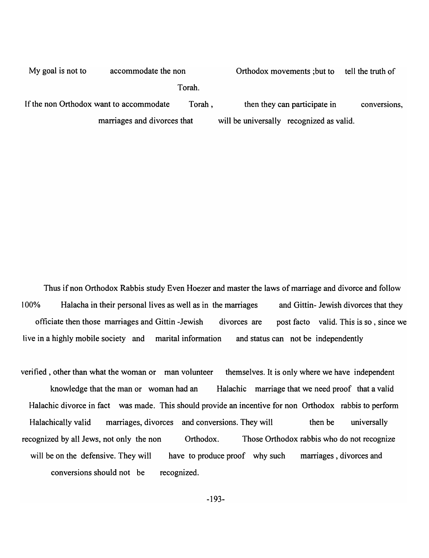| My goal is not to<br>accommodate the non |  |        | Orthodox movements ; but to              |  | tell the truth of |
|------------------------------------------|--|--------|------------------------------------------|--|-------------------|
|                                          |  | Torah. |                                          |  |                   |
| If the non Orthodox want to accommodate  |  | Torah, | then they can participate in             |  | conversions,      |
| marriages and divorces that              |  |        | will be universally recognized as valid. |  |                   |

Thus if non Orthodox Rabbis study Even Hoezer and master the laws of marriage and divorce and follow 100% Halacha in their personal lives as well as in the marriages and Gittin- Jewish divorces that they officiate then those marriages and Gittin -Jewish divorces are post facto valid. This is so , since we live in a highly mobile society and marital information and status can not be independently

verified, other than what the woman or man volunteer themselves. It is only where we have independent knowledge that the man or woman had an Halachic marriage that we need proof that a valid Halachic divorce in fact was made. This should provide an incentive for non Orthodox rabbis to perform Halachically valid marriages, divorces and conversions. They will then be universally recognized by all Jews, not only the non Orthodox. Those Orthodox rabbis who do not recognize will be on the defensive. They will have to produce proof why such marriages, divorces and conversions should not be recognized.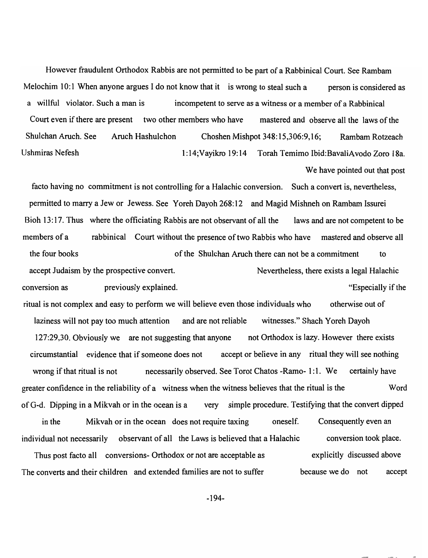However fraudulent Orthodox Rabbis are not permitted to be part of a Rabbinical Court. See Rambam Melochim 10:1 When anyone argues I do not know that it is wrong to steal such a person is considered as a willful violator. Such a man is incompetent to serve as a witness or a member of a Rabbinical Court even if there are present two other members who have mastered and observe all the laws of the Shulchan Aruch. See Aruch Hashulchon Choshen Mishpot 348:15,306:9,16; Rambam Rotzeach Ushmiras Nefesh 1:14;Vayikro 19:14 Torah Temimo Ibid:BavaliAvodo Zoro 18a.

We have pointed out that post

conversion took place.

facto having no commitment is not controlling for a Halachic conversion. Such a convert is, nevertheless, permitted to marry a Jew or Jewess. See Yoreh Dayoh 268:12 and Magid Mishneh on Rambam Issurei Bioh 13:17. Thus where the officiating Rabbis are not observant of all the laws and are not competent to be members of a rabbinical Court without the presence of two Rabbis who have mastered and observe all the four books of the Shulchan Aruch there can not be a commitment to accept Judaism by the prospective convert. Nevertheless, there exists a legal Halachic conversion as previously explained. "Especially if the

ritual is not complex and easy to perform we will believe even those individuals who otherwise out of laziness will not pay too much attention and are not reliable witnesses." Shach Yoreh Dayoh 127:29,30. Obviously we are not suggesting that anyone not Orthodox is lazy. However there exists circumstantial evidence that if someone does not accept or believe in any ritual they will see nothing wrong if that ritual is not necessarily observed. See Torot Chatos -Ramo- 1:1. We certainly have greater confidence in the reliability of a witness when the witness believes that the ritual is the Word of G-d. Dipping in a Mikvah or in the ocean is a very simple procedure. Testifying that the convert dipped in the Mikvah or in the ocean does not require taxing oneself. Consequently even an

Thus post facto all conversions- Orthodox or not are acceptable as The converts and their children and extended families are not to suffer explicitly discussed above because we do not accept

individual not necessarily observant of all the Laws is believed that a Halachic

-194-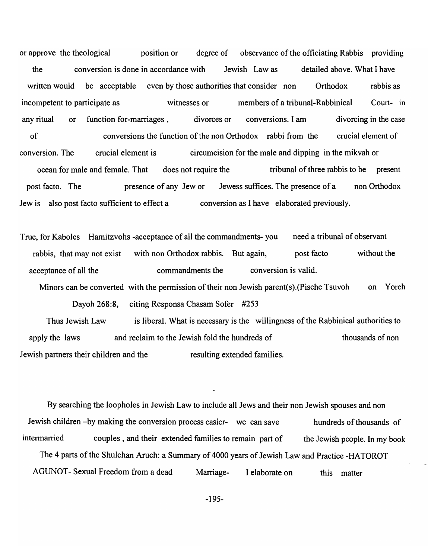or approve the theological position or degree of observance of the officiating Rabbis providing the conversion is done in accordance with Jewish Law as detailed above. What I have written would be acceptable even by those authorities that consider non Orthodox rabbis as incompetent to participate as witnesses or members of a tribunal-Rabbinical Court- in any ritual or function for-marriages, divorces or conversions. I am divorcing in the case of conversions the function of the non Orthodox rabbi from the crucial element of conversion. The crucial element is circumcision for the male and dipping in the mikvah or ocean for male and female. That does not require the tribunal of three rabbis to be present post facto. The presence of any Jew or Jewess suffices. The presence of a non Orthodox Jew is also post facto sufficient to effect a conversion as I have elaborated previously.

True, for Kaboles Hamitzvohs -acceptance of all the commandments- you need a tribunal of observant rabbis, that may not exist with non Orthodox rabbis. But again, post facto without the acceptance of all the commandments the conversion is valid.

Minors can be converted with the permission of their non Jewish parent(s).(Pische Tsuvoh on Yoreh Dayoh 268:8, citing Responsa Chasam Sofer #253

Thus Jewish Law apply the laws is liberal. What is necessary is the willingness of the Rabbinical authorities to and reclaim to the Jewish fold the hundreds of the state of thousands of non Jewish partners their children and the resulting extended families.

By searching the loopholes in Jewish Law to include all Jews and their non Jewish spouses and non Jewish children -by making the conversion process easier- we can save hundreds of thousands of intermarried couples, and their extended families to remain part of the Jewish people. In my book The 4 parts of the Shulchan Aruch: a Summary of 4000 years of Jewish Law and Practice -HATOROT AGUNOT- Sexual Freedom from a dead Marriage- I elaborate on this matter

-195-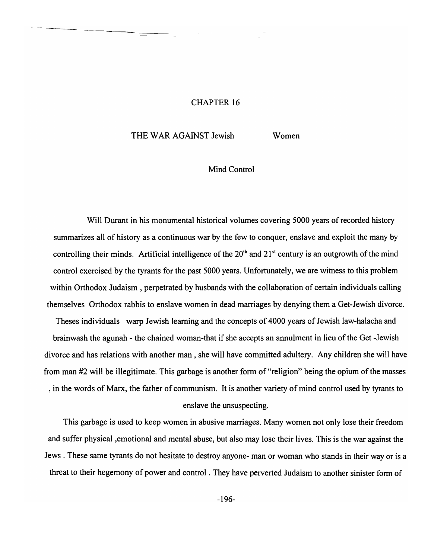# CHAPTER 16

# THE WAR AGAINST Jewish Women

# Mind Control

Will Durant in his monumental historical volumes covering 5000 years of recorded history summarizes all of history as a continuous war by the few to conquer, enslave and exploit the many by controlling their minds. Artificial intelligence of the  $20<sup>th</sup>$  and  $21<sup>st</sup>$  century is an outgrowth of the mind control exercised by the tyrants for the past 5000 years. Unfortunately, we are witness to this problem within Orthodox Judaism, perpetrated by husbands with the collaboration of certain individuals calling themselves Orthodox rabbis to enslave women in dead marriages by denying them a Get-Jewish divorce.

Theses individuals warp Jewish learning and the concepts of 4000 years of Jewish law-halacha and brainwash the agunah - the chained woman-that if she accepts an annulment in lieu of the Get -Jewish divorce and has relations with another man, she will have committed adultery. Any children she will have from man #2 will be illegitimate. This garbage is another form of "religion" being the opium of the masses , in the words of Marx, the father of communism. It is another variety of mind control used by tyrants to enslave the unsuspecting.

This garbage is used to keep women in abusive marriages. Many women not only lose their freedom and suffer physical ,emotional and mental abuse, but also may lose their lives. This is the war against the Jews. These same tyrants do not hesitate to destroy anyone- man or woman who stands in their way or is a threat to their hegemony of power and control. They have perverted Judaism to another sinister form of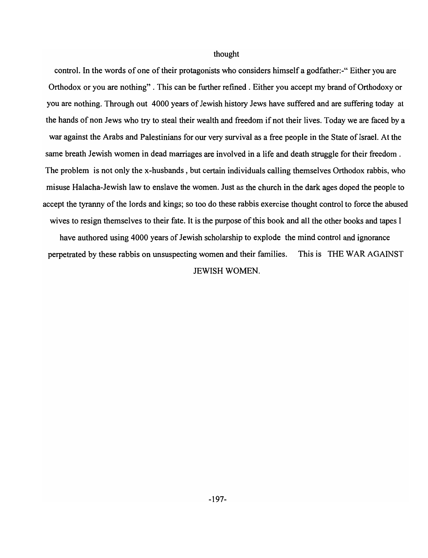#### thought

control. In the words of one of their protagonists who considers himself a godfather:-" Either you are Orthodox or you are nothing" . This can be further refined. Either you accept my brand of Orthodoxy or you are nothing. Through out 4000 years of Jewish history Jews have suffered and are suffering today at the hands of non Jews who try to steal their wealth and freedom if not their lives. Today we are faced by a war against the Arabs and Palestinians for our very survival as a free people in the State of Israel. At the same breath Jewish women in dead marriages are involved in a life and death struggle for their freedom. The problem is not only the x-husbands, but certain individuals calling themselves Orthodox rabbis, who misuse Halacha-Jewish law to enslave the women. Just as the church in the dark ages doped the people to accept the tyranny of the lords and kings; so too do these rabbis exercise thought control to force the abused wives to resign themselves to their fate. It is the purpose of this book and all the other books and tapes I have authored using 4000 years of Jewish scholarship to explode the mind control and ignorance perpetrated by these rabbis on unsuspecting women and their families. This is THE WAR AGAINST JEWISH WOMEN.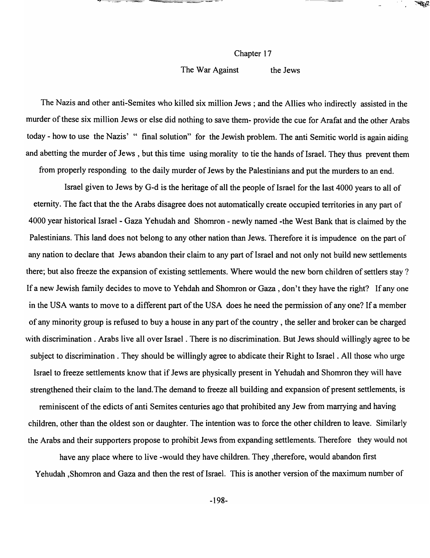#### Chapter 17

#### The War Against the Jews

The Nazis and other anti-Semites who killed six million Jews; and the Allies who indirectly assisted in the murder of these six million Jews or else did nothing to save them- provide the cue for Arafat and the other Arabs today - how to use the Nazis' " final solution" for the Jewish problem. The anti Semitic world is again aiding and abetting the murder of Jews, but this time using morality to tie the hands of Israel. They thus prevent them

from properly responding to the daily murder of Jews by the Palestinians and put the murders to an end.

Israel given to Jews by G-d is the heritage of all the people of Israel for the last 4000 years to all of eternity. The fact that the the Arabs disagree does not automatically create occupied territories in any part of 4000 year historical Israel - Gaza Yehudah and Shomron - newly named -the West Bank that is claimed by the Palestinians. This land does not belong to any other nation than Jews. Therefore it is impudence on the part of any nation to declare that Jews abandon their claim to any part of Israel and not only not build new settlements there; but also freeze the expansion of existing settlements. Where would the new born children of settlers stay? If a new Jewish family decides to move to Yehdah and Shomron or Gaza , don't they have the right? If anyone in the USA wants to move to a different part of the USA does he need the permission of anyone? If a member of any minority group is refused to buy a house in any part of the country , the seller and broker can be charged with discrimination. Arabs live all over Israel. There is no discrimination. But Jews should willingly agree to be subject to discrimination. They should be willingly agree to abdicate their Right to Israel. All those who urge Israel to freeze settlements know that if Jews are physically present in Yehudah and Shomron they will have strengthened their claim to the land. The demand to freeze all building and expansion of present settlements, is reminiscent of the edicts of anti Semites centuries ago that prohibited any Jew from marrying and having children, other than the oldest son or daughter. The intention was to force the other children to leave. Similarly

the Arabs and their supporters propose to prohibit Jews from expanding settlements. Therefore they would not

have any place where to live -would they have children. They ,therefore, would abandon first Yehudah ,Shomron and Gaza and then the rest of Israel. This is another version of the maximum number of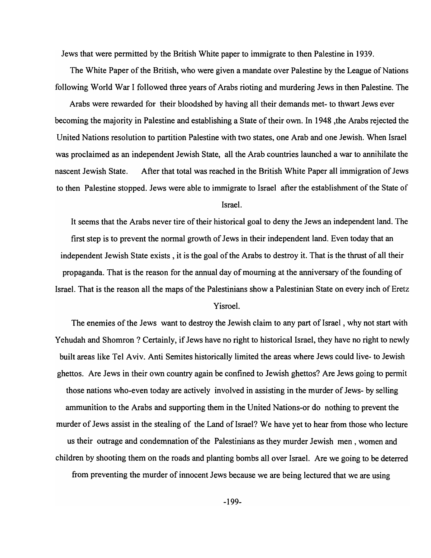Jews that were permitted by the British White paper to immigrate to then Palestine in 1939.

The White Paper of the British, who were given a mandate over Palestine by the League of Nations following World War I followed three years of Arabs rioting and murdering Jews in then Palestine. The

Arabs were rewarded for their bloodshed by having all their demands met- to thwart Jews ever becoming the majority in Palestine and establishing a State of their own. In 1948 ,the Arabs rejected the United Nations resolution to partition Palestine with two states, one Arab and one Jewish. When Israel was proclaimed as an independent Jewish State, all the Arab countries launched a war to annihilate the nascent Jewish State. After that total was reached in the British White Paper all immigration of Jews to then Palestine stopped. Jews were able to immigrate to Israel after the establishment of the State of

Israel.

It seems that the Arabs never tire of their historical goal to deny the Jews an independent land. The first step is to prevent the normal growth of Jews in their independent land. Even today that an independent Jewish State exists, it is the goal of the Arabs to destroy it. That is the thrust of all their propaganda. That is the reason for the annual day of mourning at the anniversary of the founding of Israel. That is the reason all the maps of the Palestinians show a Palestinian State on every inch of Eretz Yisroel.

The enemies of the Jews want to destroy the Jewish claim to any part of Israel, why not start with Yehudah and Shomron ? Certainly, if Jews have no right to historical Israel, they have no right to newly built areas like Tel Aviv. Anti Semites historically limited the areas where Jews could live- to Jewish ghettos. Are Jews in their own country again be confined to Jewish ghettos? Are Jews going to permit those nations who-even today are actively involved in assisting in the murder of Jews- by selling ammunition to the Arabs and supporting them in the United Nations-or do nothing to prevent the murder of Jews assist in the stealing of the Land of Israel? We have yet to hear from those who lecture us their outrage and condemnation of the Palestinians as they murder Jewish men, women and children by shooting them on the roads and planting bombs all over Israel. Are we going to be deterred from preventing the murder of innocent Jews because we are being lectured that we are using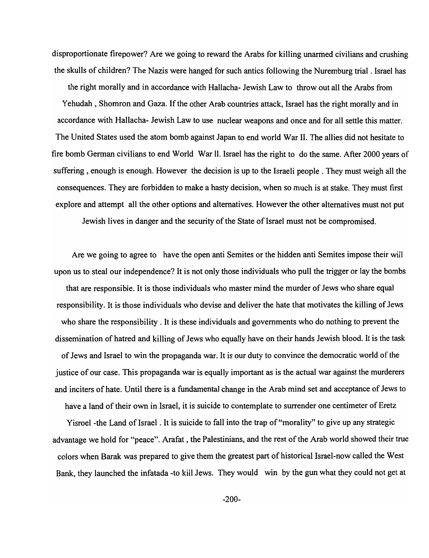disproportionate firepower? Are we going to reward the Arabs for killing unarmed civilians and crushing the skulls of children? The Nazis were hanged for such antics following the Nuremburg trial. Israel has

the right morally and in accordance with Hallacha- Jewish Law to throw out all the Arabs from Yehudah , Shomron and Gaza. If the other Arab countries attack, Israel has the right morally and in accordance with Hallacha- Jewish Law to use nuclear weapons and once and for all settle this matter. The United States used the atom bomb against Japan to end world War II. The allies did not hesitate to fire bomb German civilians to end World War 11. Israel has the right to do the same. After 2000 years of suffering, enough is enough. However the decision is up to the Israeli people . They must weigh all the consequences. They are forbidden to make a hasty decision, when so much is at stake. They must first explore and attempt all the other options and alternatives. However the other alternatives must not put

Jewish lives in danger and the security of the State of Israel must not be compromised.

Are we going to agree to have the open anti Semites or the hidden anti Semites impose their will upon us to steal our independence? It is not only those individuals who pull the trigger or lay the bombs that are responsible. It is those individuals who master mind the murder of Jews who share equal responsibility. It is those individuals who devise and deliver the hate that motivates the killing of Jews who share the responsibility. It is these individuals and governments who do nothing to prevent the dissemination of hatred and killing of Jews who equally have on their hands Jewish blood. It is the task of Jews and Israel to win the propaganda war. It is our duty to convince the democratic world of the justice of our case. This propaganda war is equally important as is the actual war against the murderers and inciters of hate. Until there is a fundamental change in the Arab mind set and acceptance of Jews to have a land of their own in Israel, it is suicide to contemplate to surrender one centimeter of Eretz

Yisroel -the Land of Israel . It is suicide to fall into the trap of "morality" to give up any strategic advantage we hold for "peace". Arafat , the Palestinians, and the rest of the Arab world showed their true colors when Barak was prepared to give them the greatest part of historical Israel-now called the West Bank, they launched the infatada -to kill Jews. They would win by the gun what they could not get at

-200-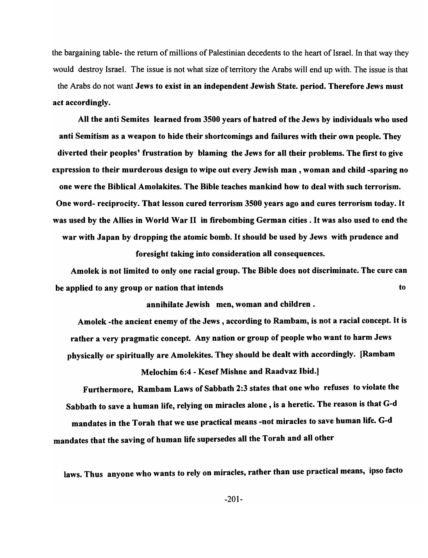the bargaining table- the return of millions of Palestinian decedents to the heart of Israel. In that way they would destroy Israel. The issue is not what size of territory the Arabs will end up with. The issue is that the Arabs do not want Jews to exist in an independent Jewish State. period. Therefore Jews must act accordingly.

All the anti Semites learned from 3500 years of hatred of the Jews by individuals who used anti Semitism as a weapon to hide their shortcomings and failures with their own people. They diverted their peoples' frustration by blaming the Jews for all their problems. The first to give expression to their murderous design to wipe out every Jewish man, woman and child -sparing no one were the Biblical Amolakites. The Bible teaches mankind how to deal with such terrorism. One word- reciprocity. That lesson cured terrorism 3500 years ago and cures terrorism today. It was used by the Allies in World War II in firebombing German cities. It was also used to end the war with Japan by dropping the atomic bomb. It should be used by Jews with prudence and foresight taking into consideration all consequences.

Amolek is not limited to only one racial group. The Bible does not discriminate. The cure can be applied to any group or nation that intends to the applied to any group or nation that intends

annihilate Jewish men, woman and children.

Amolek -the ancient enemy of the Jews, according to Rambam, is not a racial concept. It is rather a very pragmatic concept. Any nation or group of people who want to harm Jews physically or spiritually are Amolekites. They should be dealt with accordingly. [Rambam

Melochim 6:4 - Kesef Mishne and Raadvaz Ibid.]

Furthermore, Rambam Laws of Sabbath 2:3 states that one who refuses to violate the Sabbath to save a human life, relying on miracles alone, is a heretic. The reason is that G-d mandates in the Torah that we use practical means -not miracles to save human life. G-d mandates that the saving of human life supersedes all the Torah and all other

laws. Thus anyone who wants to rely on miracles, rather than use practical means, ipso facto

-201-